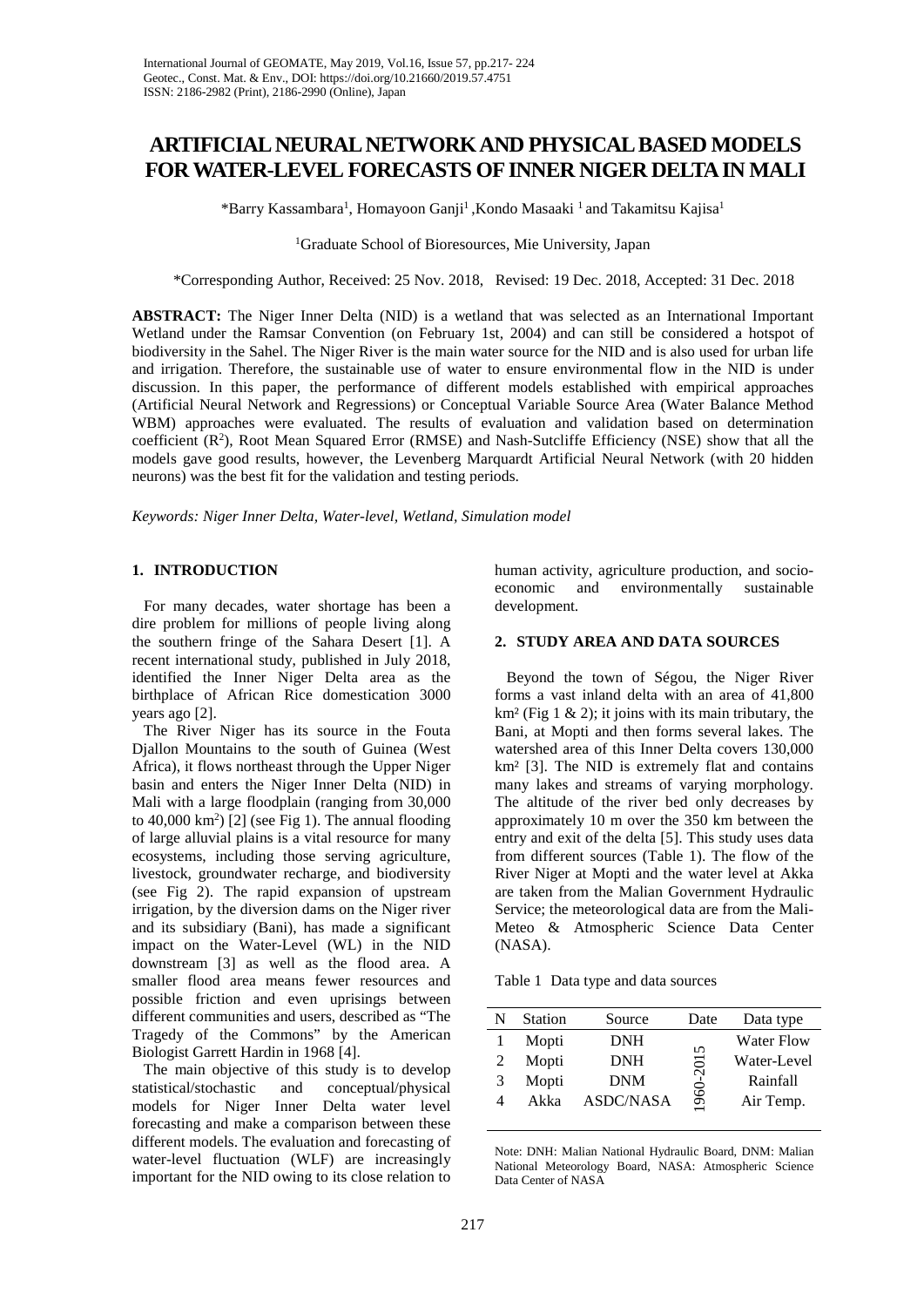# **ARTIFICIAL NEURAL NETWORK AND PHYSICAL BASED MODELS FOR WATER-LEVEL FORECASTS OFINNER NIGER DELTA IN MALI**

\*Barry Kassambara<sup>1</sup>, Homayoon Ganji<sup>1</sup>, Kondo Masaaki <sup>1</sup> and Takamitsu Kajisa<sup>1</sup>

## 1 Graduate School of Bioresources, Mie University, Japan

\*Corresponding Author, Received: 25 Nov. 2018, Revised: 19 Dec. 2018, Accepted: 31 Dec. 2018

**ABSTRACT:** The Niger Inner Delta (NID) is a wetland that was selected as an International Important Wetland under the Ramsar Convention (on February 1st, 2004) and can still be considered a hotspot of biodiversity in the Sahel. The Niger River is the main water source for the NID and is also used for urban life and irrigation. Therefore, the sustainable use of water to ensure environmental flow in the NID is under discussion. In this paper, the performance of different models established with empirical approaches (Artificial Neural Network and Regressions) or Conceptual Variable Source Area (Water Balance Method WBM) approaches were evaluated. The results of evaluation and validation based on determination coefficient  $(R^2)$ , Root Mean Squared Error (RMSE) and Nash-Sutcliffe Efficiency (NSE) show that all the models gave good results, however, the Levenberg Marquardt Artificial Neural Network (with 20 hidden neurons) was the best fit for the validation and testing periods.

*Keywords: Niger Inner Delta, Water-level, Wetland, Simulation model*

## **1. INTRODUCTION**

 For many decades, water shortage has been a dire problem for millions of people living along the southern fringe of the Sahara Desert [1]. A recent international study, published in July 2018, identified the Inner Niger Delta area as the birthplace of African Rice domestication 3000 years ago [2].

 The River Niger has its source in the Fouta Djallon Mountains to the south of Guinea (West Africa), it flows northeast through the Upper Niger basin and enters the Niger Inner Delta (NID) in Mali with a large floodplain (ranging from 30,000 to  $40,000 \text{ km}^2$ ) [2] (see Fig 1). The annual flooding of large alluvial plains is a vital resource for many ecosystems, including those serving agriculture, livestock, groundwater recharge, and biodiversity (see Fig 2). The rapid expansion of upstream irrigation, by the diversion dams on the Niger river and its subsidiary (Bani), has made a significant impact on the Water-Level (WL) in the NID downstream [3] as well as the flood area. A smaller flood area means fewer resources and possible friction and even uprisings between different communities and users, described as "The Tragedy of the Commons" by the American Biologist Garrett Hardin in 1968 [4].

 The main objective of this study is to develop statistical/stochastic and conceptual/physical models for Niger Inner Delta water level forecasting and make a comparison between these different models. The evaluation and forecasting of water-level fluctuation (WLF) are increasingly important for the NID owing to its close relation to

human activity, agriculture production, and socioeconomic and environmentally sustainable development.

## **2. STUDY AREA AND DATA SOURCES**

 Beyond the town of Ségou, the Niger River forms a vast inland delta with an area of 41,800  $km<sup>2</sup>$  (Fig 1 & 2); it joins with its main tributary, the Bani, at Mopti and then forms several lakes. The watershed area of this Inner Delta covers 130,000 km² [3]. The NID is extremely flat and contains many lakes and streams of varying morphology. The altitude of the river bed only decreases by approximately 10 m over the 350 km between the entry and exit of the delta [5]. This study uses data from different sources (Table 1). The flow of the River Niger at Mopti and the water level at Akka are taken from the Malian Government Hydraulic Service; the meteorological data are from the Mali-Meteo & Atmospheric Science Data Center (NASA).

Table 1 Data type and data sources

|   | <b>Station</b> | Source           | Date             | Data type         |
|---|----------------|------------------|------------------|-------------------|
|   | Mopti          | <b>DNH</b>       | $\mathsf{S}$     | <b>Water Flow</b> |
|   | Mopti          | <b>DNH</b>       | $\overline{201}$ | Water-Level       |
| 3 | Mopti          | DNM              |                  | Rainfall          |
|   | Akka           | <b>ASDC/NASA</b> | 960              | Air Temp.         |

Note: DNH: Malian National Hydraulic Board, DNM: Malian National Meteorology Board, NASA: Atmospheric Science Data Center of NASA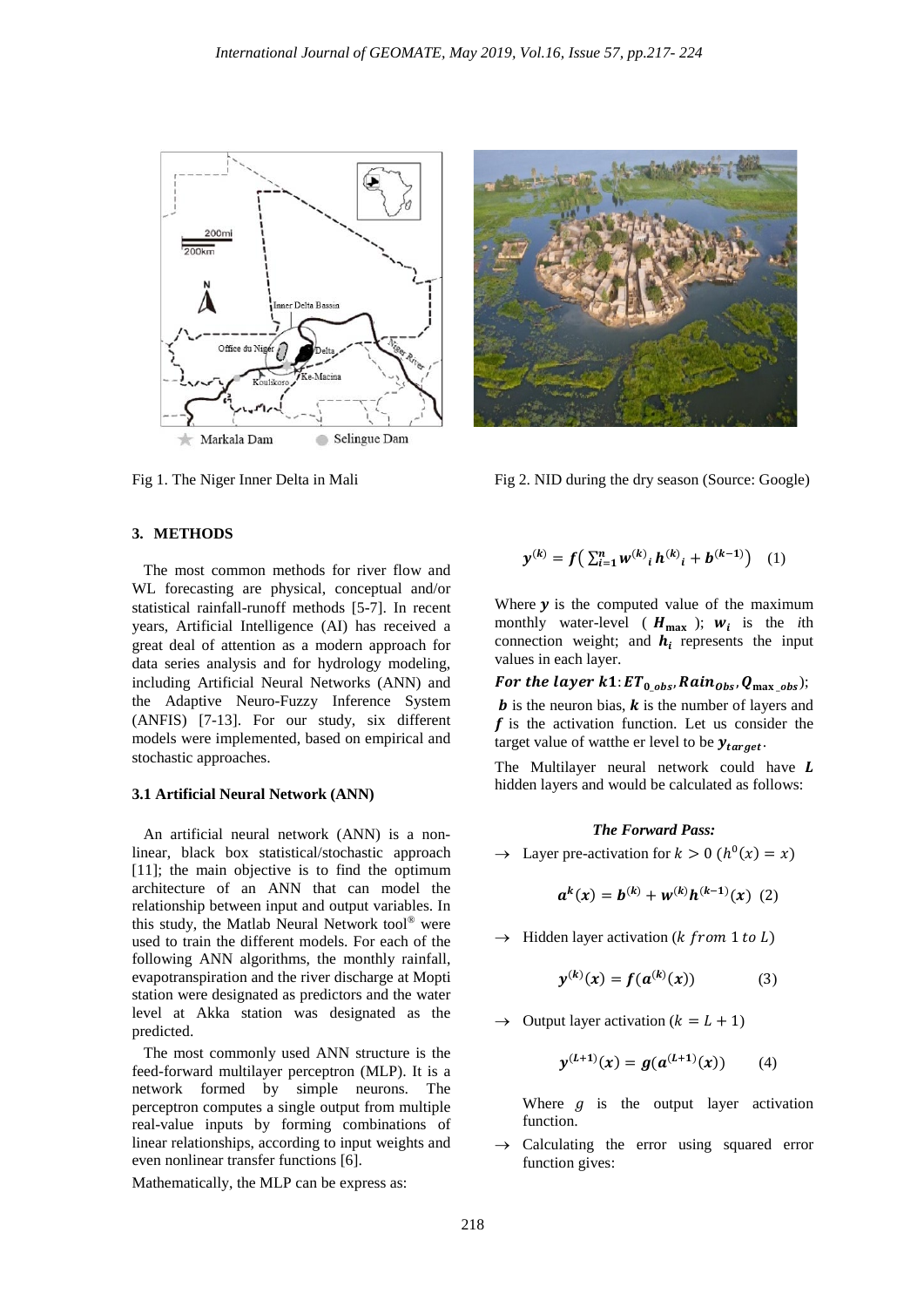



Fig 1. The Niger Inner Delta in Mali Fig 2. NID during the dry season (Source: Google)

## **3. METHODS**

 The most common methods for river flow and WL forecasting are physical, conceptual and/or statistical rainfall-runoff methods [5-7]. In recent years, Artificial Intelligence (AI) has received a great deal of attention as a modern approach for data series analysis and for hydrology modeling, including Artificial Neural Networks (ANN) and the Adaptive Neuro-Fuzzy Inference System (ANFIS) [7-13]. For our study, six different models were implemented, based on empirical and stochastic approaches.

#### **3.1 Artificial Neural Network (ANN)**

 An artificial neural network (ANN) is a nonlinear, black box statistical/stochastic approach [11]; the main objective is to find the optimum architecture of an ANN that can model the relationship between input and output variables. In this study, the Matlab Neural Network tool® were used to train the different models. For each of the following ANN algorithms, the monthly rainfall, evapotranspiration and the river discharge at Mopti station were designated as predictors and the water level at Akka station was designated as the predicted.

 The most commonly used ANN structure is the feed-forward multilayer perceptron (MLP). It is a network formed by simple neurons. The perceptron computes a single output from multiple real-value inputs by forming combinations of linear relationships, according to input weights and even nonlinear transfer functions [6].

Mathematically, the MLP can be express as:

$$
\mathbf{y}^{(k)} = f\left(\sum_{i=1}^{n} w^{(k)}_{i} h^{(k)}_{i} + b^{(k-1)}\right) \quad (1)
$$

Where  $\gamma$  is the computed value of the maximum monthly water-level ( $H_{\text{max}}$ );  $W_i$  is the *i*th connection weight; and  $h_i$  represents the input values in each layer.

For the layer  $k1$ :  $ET_{0\_obs}$ ,  $Rain_{Obs}$ ,  $Q_{max\_obs}$ ); *b* is the neuron bias,  $\boldsymbol{k}$  is the number of layers and

 $f$  is the activation function. Let us consider the target value of watthe er level to be  $y_{target}$ .

The Multilayer neural network could have L hidden layers and would be calculated as follows:

#### *The Forward Pass:*

 $\rightarrow$  Layer pre-activation for  $k > 0$  ( $h^0(x) = x$ )

$$
a^{k}(x) = b^{(k)} + w^{(k)}h^{(k-1)}(x) (2)
$$

 $\rightarrow$  Hidden layer activation (*k from* 1 *to L*)

$$
y^{(k)}(x) = f(a^{(k)}(x))
$$
 (3)

 $\rightarrow$  Output layer activation ( $k = L + 1$ )

$$
y^{(L+1)}(x) = g(a^{(L+1)}(x)) \qquad (4)
$$

Where  $q$  is the output layer activation function.

Calculating the error using squared error function gives: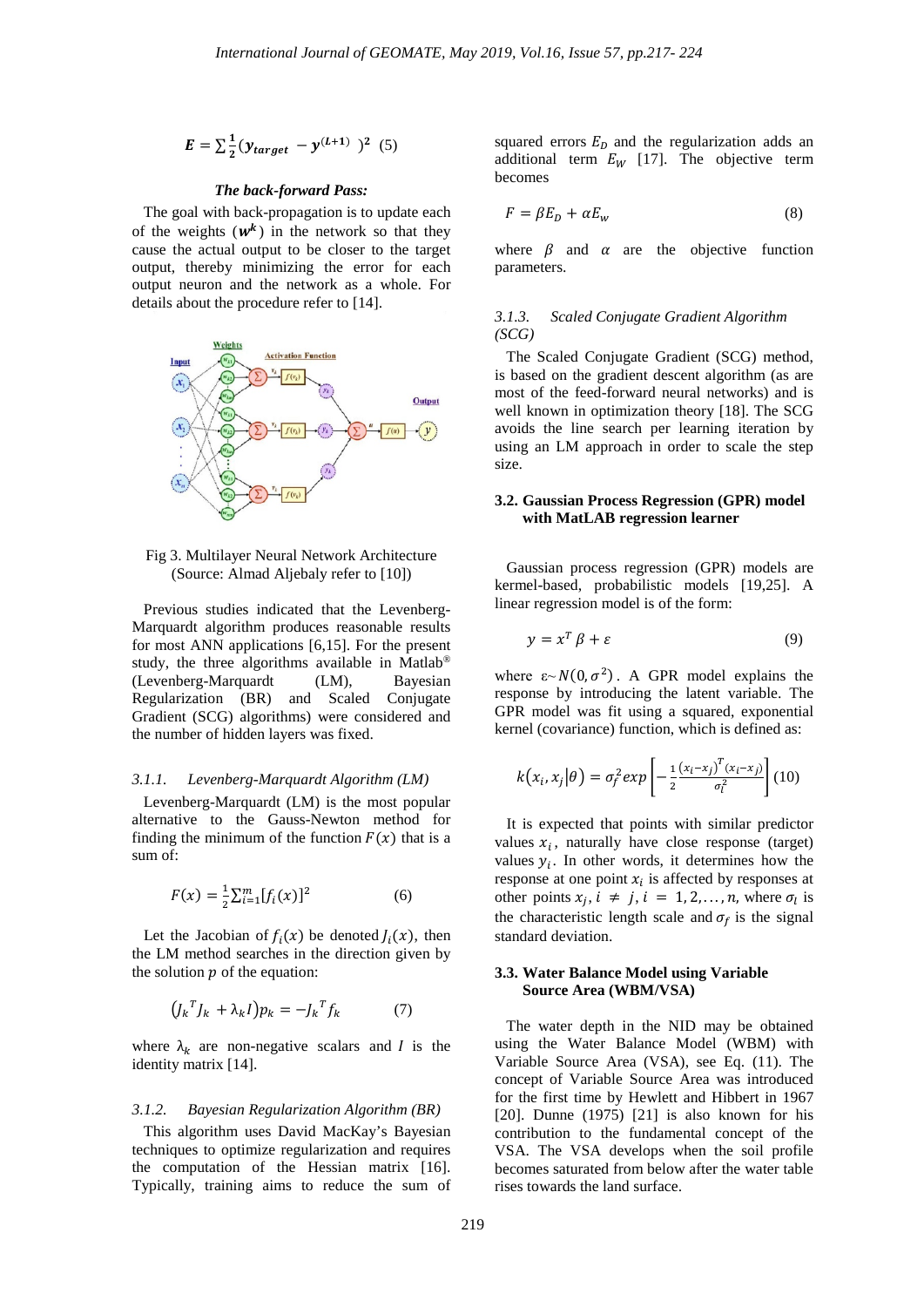$$
E = \sum_{1}^{1} (y_{target} - y^{(L+1)})^2
$$
 (5)

#### *The back-forward Pass:*

The goal with back-propagation is to update each of the weights  $(w^k)$  in the network so that they cause the actual output to be closer to the target output, thereby minimizing the error for each output neuron and the network as a whole. For details about the procedure refer to [14].



Fig 3. Multilayer Neural Network Architecture (Source: Almad Aljebaly refer to [10])

 Previous studies indicated that the Levenberg-Marquardt algorithm produces reasonable results for most ANN applications [6,15]. For the present study, the three algorithms available in Matlab® (Levenberg-Marquardt (LM), Bayesian Regularization (BR) and Scaled Conjugate Gradient (SCG) algorithms) were considered and the number of hidden layers was fixed.

#### *3.1.1. Levenberg-Marquardt Algorithm (LM)*

 Levenberg-Marquardt (LM) is the most popular alternative to the Gauss-Newton method for finding the minimum of the function  $F(x)$  that is a sum of:

$$
F(x) = \frac{1}{2} \sum_{i=1}^{m} [f_i(x)]^2
$$
 (6)

Let the Jacobian of  $f_i(x)$  be denoted  $J_i(x)$ , then the LM method searches in the direction given by the solution  $p$  of the equation:

$$
(J_k^T J_k + \lambda_k I) p_k = -J_k^T f_k \tag{7}
$$

where  $\lambda_k$  are non-negative scalars and *I* is the identity matrix [14].

#### *3.1.2. Bayesian Regularization Algorithm (BR)*

 This algorithm uses David MacKay's Bayesian techniques to optimize regularization and requires the computation of the Hessian matrix [16]. Typically, training aims to reduce the sum of squared errors  $E<sub>D</sub>$  and the regularization adds an additional term  $E_W$  [17]. The objective term becomes

$$
F = \beta E_D + \alpha E_w \tag{8}
$$

where  $\beta$  and  $\alpha$  are the objective function parameters.

## *3.1.3. Scaled Conjugate Gradient Algorithm (SCG)*

 The Scaled Conjugate Gradient (SCG) method, is based on the gradient descent algorithm (as are most of the feed-forward neural networks) and is well known in optimization theory [18]. The SCG avoids the line search per learning iteration by using an LM approach in order to scale the step size.

## **3.2. Gaussian Process Regression (GPR) model with MatLAB regression learner**

 Gaussian process regression (GPR) models are kermel-based, probabilistic models [19,25]. A linear regression model is of the form:

$$
y = x^T \beta + \varepsilon \tag{9}
$$

where  $\varepsilon \sim N(0, \sigma^2)$ . A GPR model explains the response by introducing the latent variable. The GPR model was fit using a squared, exponential kernel (covariance) function, which is defined as:

$$
k(x_i, x_j | \theta) = \sigma_f^2 exp \left[ -\frac{1}{2} \frac{(x_i - x_j)^T (x_i - x_j)}{\sigma_i^2} \right] (10)
$$

 It is expected that points with similar predictor values  $x_i$ , naturally have close response (target) values  $y_i$ . In other words, it determines how the response at one point  $x_i$  is affected by responses at other points  $x_j$ ,  $i \neq j$ ,  $i = 1, 2, ..., n$ , where  $\sigma_l$  is the characteristic length scale and  $\sigma_f$  is the signal standard deviation.

## **3.3. Water Balance Model using Variable Source Area (WBM/VSA)**

 The water depth in the NID may be obtained using the Water Balance Model (WBM) with Variable Source Area (VSA), see Eq. (11). The concept of Variable Source Area was introduced for the first time by Hewlett and Hibbert in 1967 [20]. Dunne (1975) [21] is also known for his contribution to the fundamental concept of the VSA. The VSA develops when the soil profile becomes saturated from below after the water table rises towards the land surface.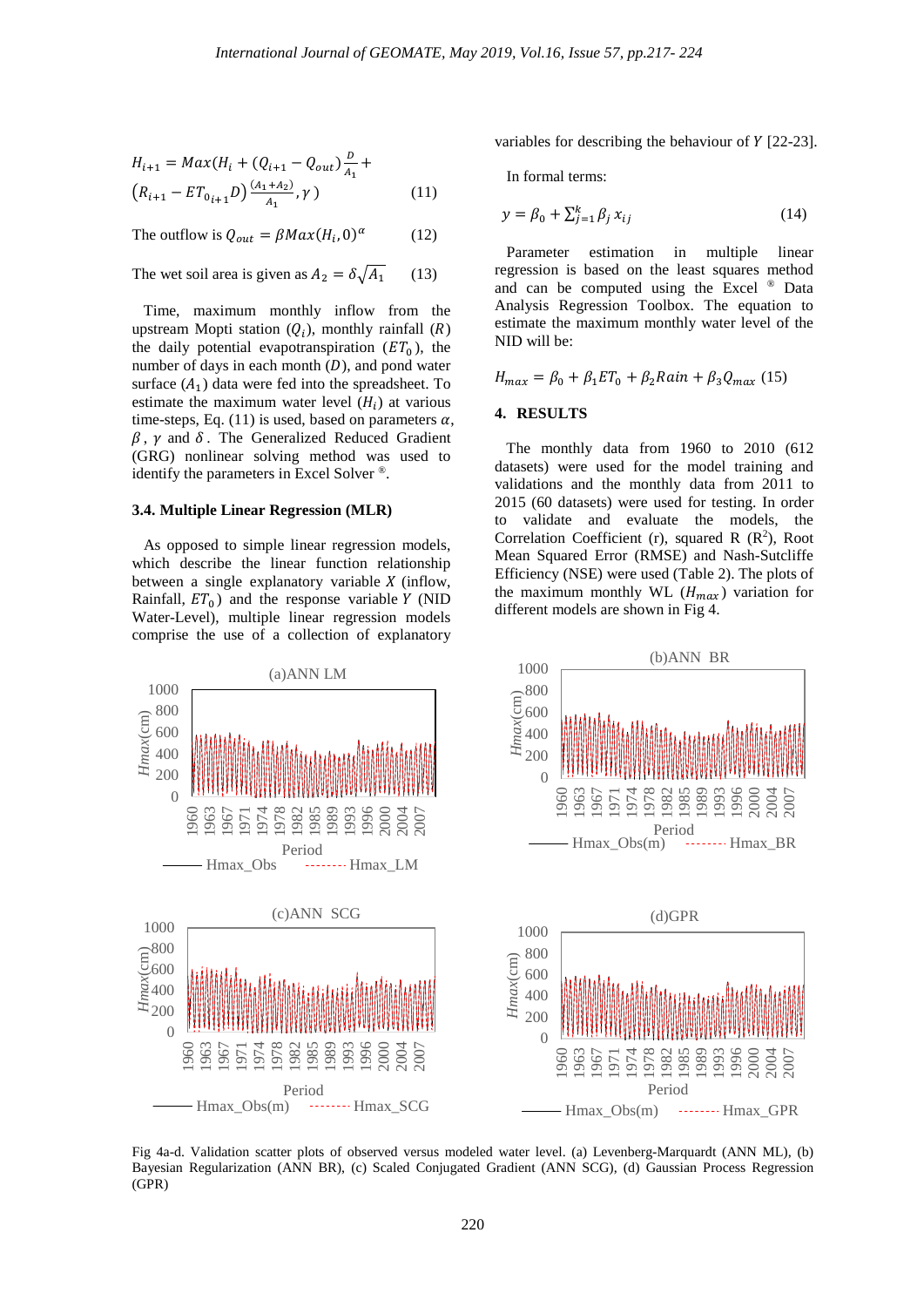$$
H_{i+1} = Max(H_i + (Q_{i+1} - Q_{out})\frac{D}{A_1} +
$$
  

$$
(R_{i+1} - ET_{0i+1}D)\frac{(A_1 + A_2)}{A_1}, \gamma)
$$
 (11)

The outflow is  $Q_{out} = \beta M a x (H_i, 0)^{\alpha}$  (12)

The wet soil area is given as  $A_2 = \delta \sqrt{A_1}$  (13)

 Time, maximum monthly inflow from the upstream Mopti station  $(Q_i)$ , monthly rainfall  $(R)$ the daily potential evapotranspiration  $(ET_0)$ , the number of days in each month  $(D)$ , and pond water surface  $(A_1)$  data were fed into the spreadsheet. To estimate the maximum water level  $(H_i)$  at various time-steps, Eq. (11) is used, based on parameters  $\alpha$ ,  $\beta$ ,  $\gamma$  and  $\delta$ . The Generalized Reduced Gradient (GRG) nonlinear solving method was used to identify the parameters in Excel Solver ®.

#### **3.4. Multiple Linear Regression (MLR)**

 As opposed to simple linear regression models, which describe the linear function relationship between a single explanatory variable  $X$  (inflow, Rainfall,  $ET_0$ ) and the response variable Y (NID Water-Level), multiple linear regression models comprise the use of a collection of explanatory variables for describing the behaviour of  $Y$  [22-23].

In formal terms:

$$
y = \beta_0 + \sum_{j=1}^{k} \beta_j x_{ij} \tag{14}
$$

 Parameter estimation in multiple linear regression is based on the least squares method and can be computed using the Excel ® Data Analysis Regression Toolbox. The equation to estimate the maximum monthly water level of the NID will be:

$$
H_{max} = \beta_0 + \beta_1 ET_0 + \beta_2 Rain + \beta_3 Q_{max} (15)
$$

#### **4. RESULTS**

 The monthly data from 1960 to 2010 (612 datasets) were used for the model training and validations and the monthly data from 2011 to 2015 (60 datasets) were used for testing. In order to validate and evaluate the models, the Correlation Coefficient (r), squared R  $(R^2)$ , Root Mean Squared Error (RMSE) and Nash-Sutcliffe Efficiency (NSE) were used (Table 2). The plots of the maximum monthly WL  $(H_{max})$  variation for different models are shown in Fig 4.



Fig 4a-d. Validation scatter plots of observed versus modeled water level. (a) Levenberg-Marquardt (ANN ML), (b) Bayesian Regularization (ANN BR), (c) Scaled Conjugated Gradient (ANN SCG), (d) Gaussian Process Regression (GPR)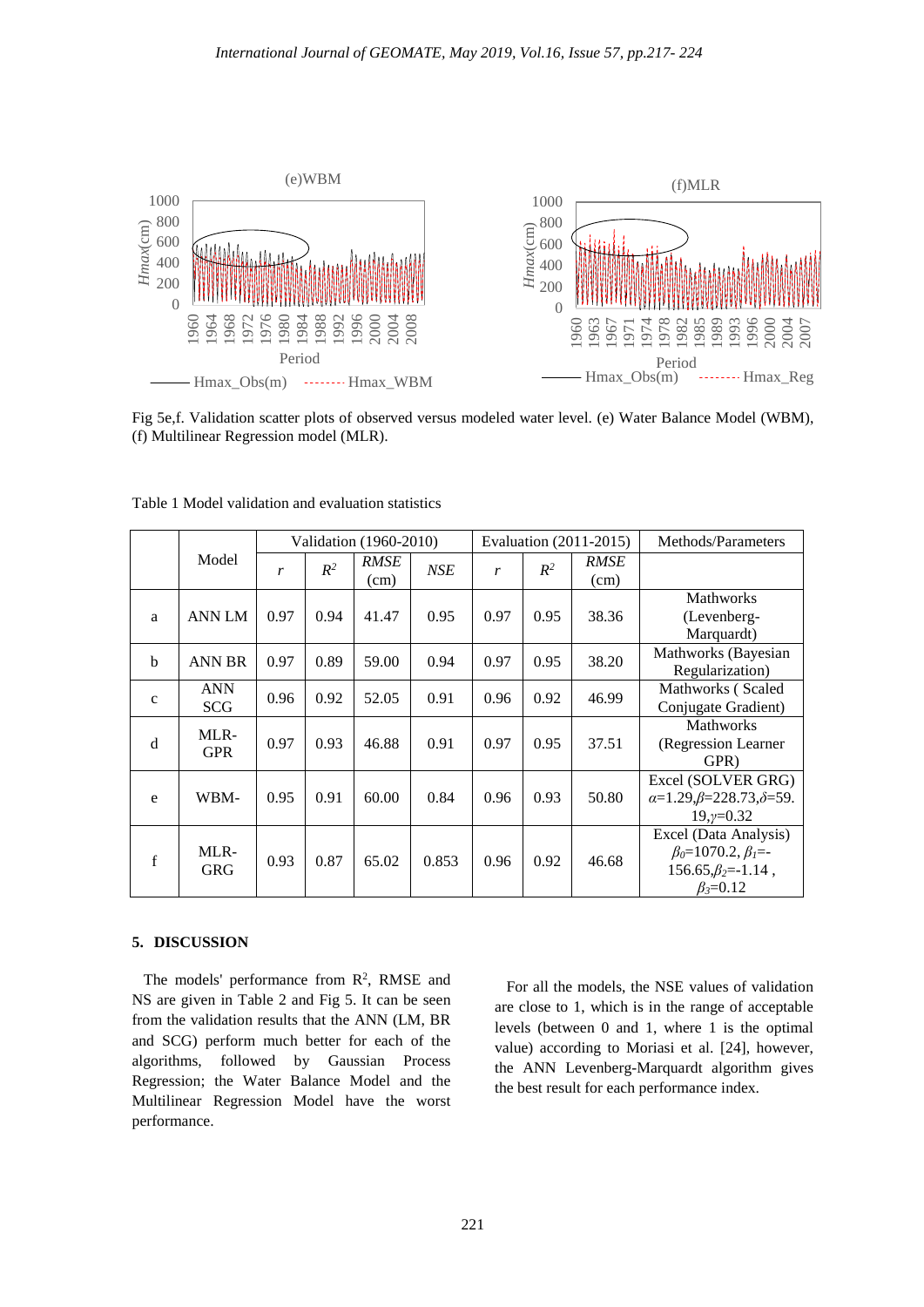

Fig 5e,f. Validation scatter plots of observed versus modeled water level. (e) Water Balance Model (WBM), (f) Multilinear Regression model (MLR).

|              |                          | Validation (1960-2010) |       |                     | Evaluation (2011-2015) |      |       | Methods/Parameters |                                                                                                         |
|--------------|--------------------------|------------------------|-------|---------------------|------------------------|------|-------|--------------------|---------------------------------------------------------------------------------------------------------|
|              | Model                    | r                      | $R^2$ | <b>RMSE</b><br>(cm) | <b>NSE</b>             | r    | $R^2$ | RMSE<br>(cm)       |                                                                                                         |
| a            | <b>ANN LM</b>            | 0.97                   | 0.94  | 41.47               | 0.95                   | 0.97 | 0.95  | 38.36              | <b>Mathworks</b><br>(Levenberg-<br>Marquardt)                                                           |
| $\mathbf b$  | <b>ANN BR</b>            | 0.97                   | 0.89  | 59.00               | 0.94                   | 0.97 | 0.95  | 38.20              | Mathworks (Bayesian<br>Regularization)                                                                  |
| $\mathbf{C}$ | <b>ANN</b><br><b>SCG</b> | 0.96                   | 0.92  | 52.05               | 0.91                   | 0.96 | 0.92  | 46.99              | Mathworks (Scaled<br>Conjugate Gradient)                                                                |
| d            | MLR-<br><b>GPR</b>       | 0.97                   | 0.93  | 46.88               | 0.91                   | 0.97 | 0.95  | 37.51              | <b>Mathworks</b><br>(Regression Learner)<br>GPR)                                                        |
| e            | WBM-                     | 0.95                   | 0.91  | 60.00               | 0.84                   | 0.96 | 0.93  | 50.80              | Excel (SOLVER GRG)<br>$\alpha=1.29,\beta=228.73,\delta=59.$<br>$19, y=0.32$                             |
| $\mathbf f$  | MLR-<br><b>GRG</b>       | 0.93                   | 0.87  | 65.02               | 0.853                  | 0.96 | 0.92  | 46.68              | Excel (Data Analysis)<br>$\beta_0 = 1070.2, \beta_1 = -$<br>$156.65,\beta_2=1.14$ ,<br>$\beta_3 = 0.12$ |

Table 1 Model validation and evaluation statistics

# **5. DISCUSSION**

The models' performance from  $\mathbb{R}^2$ , RMSE and NS are given in Table 2 and Fig 5. It can be seen from the validation results that the ANN (LM, BR and SCG) perform much better for each of the algorithms, followed by Gaussian Process Regression; the Water Balance Model and the Multilinear Regression Model have the worst performance.

 For all the models, the NSE values of validation are close to 1, which is in the range of acceptable levels (between 0 and 1, where 1 is the optimal value) according to Moriasi et al. [24], however, the ANN Levenberg-Marquardt algorithm gives the best result for each performance index.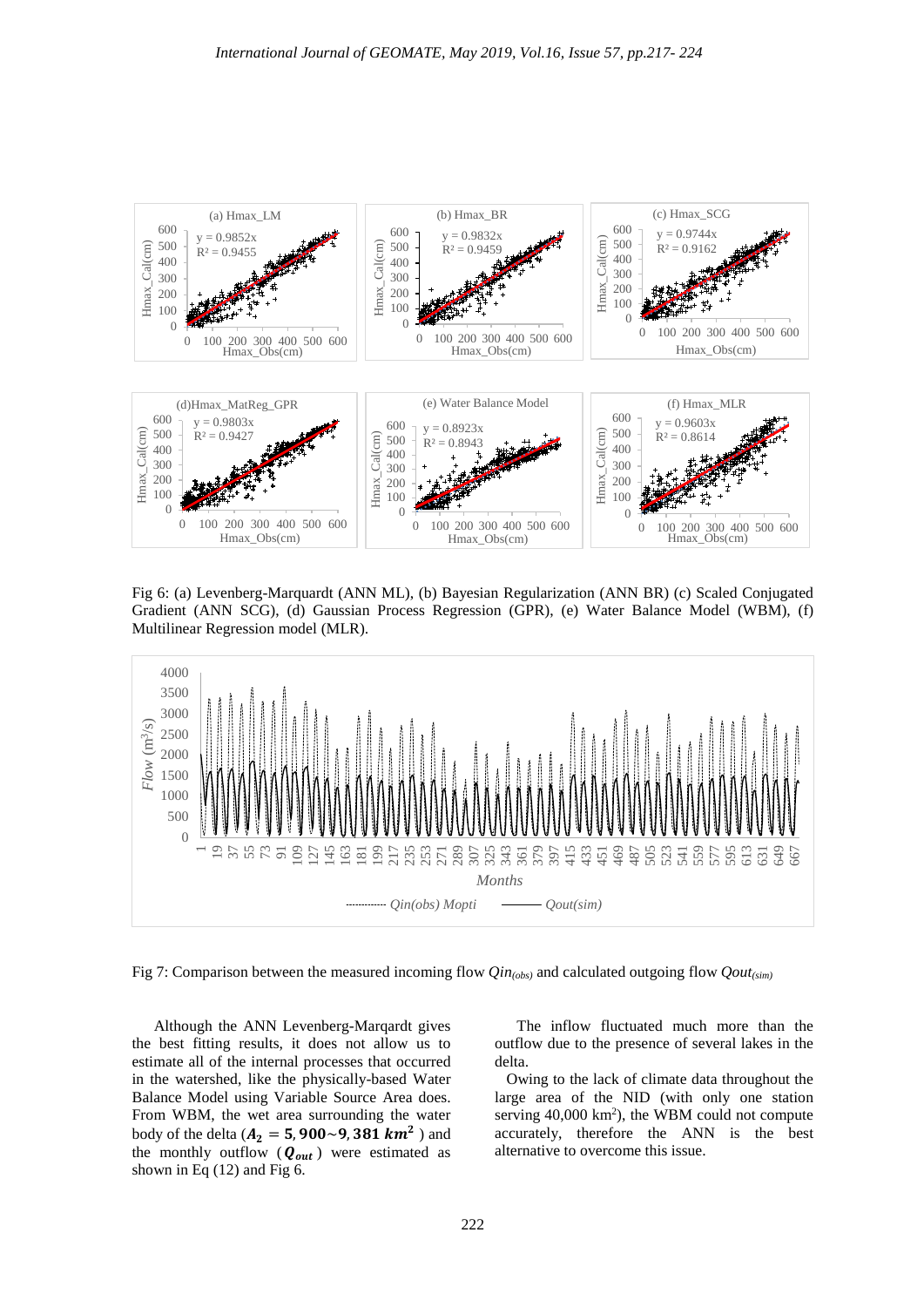

Fig 6: (a) Levenberg-Marquardt (ANN ML), (b) Bayesian Regularization (ANN BR) (c) Scaled Conjugated Gradient (ANN SCG), (d) Gaussian Process Regression (GPR), (e) Water Balance Model (WBM), (f) Multilinear Regression model (MLR).



Fig 7: Comparison between the measured incoming flow *Qin<sub>(obs)</sub>* and calculated outgoing flow *Qout*<sub>(sim)</sub>

Although the ANN Levenberg-Marqardt gives the best fitting results, it does not allow us to estimate all of the internal processes that occurred in the watershed, like the physically-based Water Balance Model using Variable Source Area does. From WBM, the wet area surrounding the water body of the delta ( $A_2 = 5,900 - 9,381 km^2$ ) and the monthly outflow  $(Q_{out})$  were estimated as shown in Eq (12) and Fig 6.

The inflow fluctuated much more than the outflow due to the presence of several lakes in the delta.

 Owing to the lack of climate data throughout the large area of the NID (with only one station serving 40,000 km<sup>2</sup>), the WBM could not compute accurately, therefore the ANN is the best alternative to overcome this issue.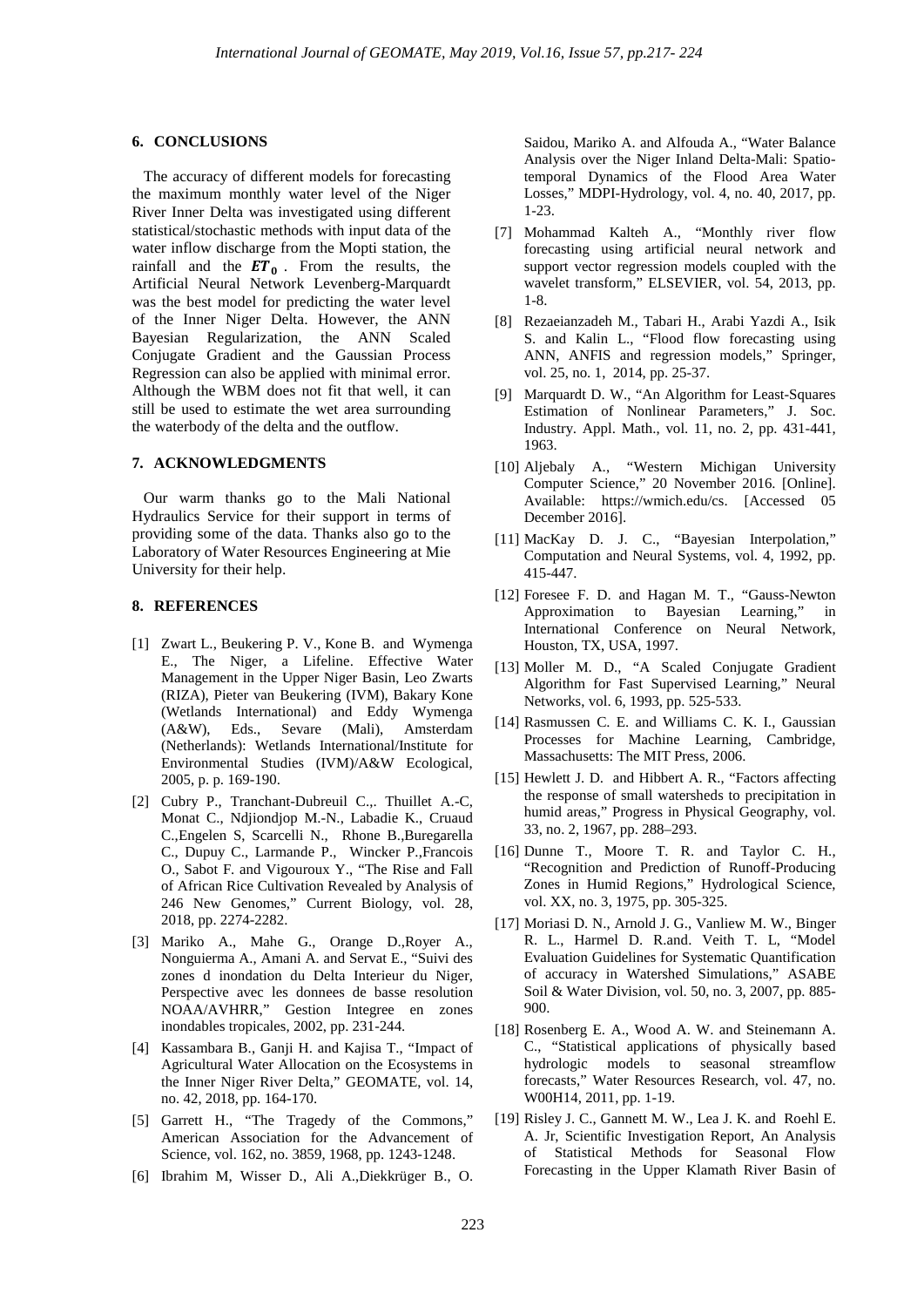#### **6. CONCLUSIONS**

 The accuracy of different models for forecasting the maximum monthly water level of the Niger River Inner Delta was investigated using different statistical/stochastic methods with input data of the water inflow discharge from the Mopti station, the rainfall and the  $ET_0$ . From the results, the Artificial Neural Network Levenberg-Marquardt was the best model for predicting the water level of the Inner Niger Delta. However, the ANN Bayesian Regularization, the ANN Scaled Conjugate Gradient and the Gaussian Process Regression can also be applied with minimal error. Although the WBM does not fit that well, it can still be used to estimate the wet area surrounding the waterbody of the delta and the outflow.

### **7. ACKNOWLEDGMENTS**

 Our warm thanks go to the Mali National Hydraulics Service for their support in terms of providing some of the data. Thanks also go to the Laboratory of Water Resources Engineering at Mie University for their help.

## **8. REFERENCES**

- [1] Zwart L., Beukering P. V., Kone B. and Wymenga E., The Niger, a Lifeline. Effective Water Management in the Upper Niger Basin, Leo Zwarts (RIZA), Pieter van Beukering (IVM), Bakary Kone (Wetlands International) and Eddy Wymenga (A&W), Eds., Sevare (Mali), Amsterdam (Netherlands): Wetlands International/Institute for Environmental Studies (IVM)/A&W Ecological, 2005, p. p. 169-190.
- [2] Cubry P., Tranchant-Dubreuil C.,. Thuillet A.-C, Monat C., Ndjiondjop M.-N., Labadie K., Cruaud C.,Engelen S, Scarcelli N., Rhone B.,Buregarella C., Dupuy C., Larmande P., Wincker P.,Francois O., Sabot F. and Vigouroux Y., "The Rise and Fall of African Rice Cultivation Revealed by Analysis of 246 New Genomes," Current Biology, vol. 28, 2018, pp. 2274-2282.
- [3] Mariko A., Mahe G., Orange D.,Royer A., Nonguierma A., Amani A. and Servat E., "Suivi des zones d inondation du Delta Interieur du Niger, Perspective avec les donnees de basse resolution NOAA/AVHRR," Gestion Integree en zones inondables tropicales, 2002, pp. 231-244.
- [4] Kassambara B., Ganji H. and Kajisa T., "Impact of Agricultural Water Allocation on the Ecosystems in the Inner Niger River Delta," GEOMATE, vol. 14, no. 42, 2018, pp. 164-170.
- [5] Garrett H., "The Tragedy of the Commons," American Association for the Advancement of Science, vol. 162, no. 3859, 1968, pp. 1243-1248.
- [6] Ibrahim M, Wisser D., Ali A.,Diekkrüger B., O.

Saidou, Mariko A. and Alfouda A., "Water Balance Analysis over the Niger Inland Delta-Mali: Spatiotemporal Dynamics of the Flood Area Water Losses," MDPI-Hydrology, vol. 4, no. 40, 2017, pp. 1-23.

- [7] Mohammad Kalteh A., "Monthly river flow forecasting using artificial neural network and support vector regression models coupled with the wavelet transform," ELSEVIER, vol. 54, 2013, pp. 1-8.
- [8] Rezaeianzadeh M., Tabari H., Arabi Yazdi A., Isik S. and Kalin L., "Flood flow forecasting using ANN, ANFIS and regression models," Springer, vol. 25, no. 1, 2014, pp. 25-37.
- [9] Marquardt D. W., "An Algorithm for Least-Squares Estimation of Nonlinear Parameters," J. Soc. Industry. Appl. Math., vol. 11, no. 2, pp. 431-441, 1963.
- [10] Aljebaly A., "Western Michigan University Computer Science," 20 November 2016. [Online]. Available: https://wmich.edu/cs. [Accessed 05 December 2016].
- [11] MacKay D. J. C., "Bayesian Interpolation," Computation and Neural Systems, vol. 4, 1992, pp. 415-447.
- [12] Foresee F. D. and Hagan M. T., "Gauss-Newton Approximation to Bayesian Learning," in International Conference on Neural Network, Houston, TX, USA, 1997.
- [13] Moller M. D., "A Scaled Conjugate Gradient Algorithm for Fast Supervised Learning," Neural Networks, vol. 6, 1993, pp. 525-533.
- [14] Rasmussen C. E. and Williams C. K. I., Gaussian Processes for Machine Learning, Cambridge, Massachusetts: The MIT Press, 2006.
- [15] Hewlett J. D. and Hibbert A. R., "Factors affecting the response of small watersheds to precipitation in humid areas," Progress in Physical Geography, vol. 33, no. 2, 1967, pp. 288–293.
- [16] Dunne T., Moore T. R. and Taylor C. H., "Recognition and Prediction of Runoff-Producing Zones in Humid Regions," Hydrological Science, vol. XX, no. 3, 1975, pp. 305-325.
- [17] Moriasi D. N., Arnold J. G., Vanliew M. W., Binger R. L., Harmel D. R.and. Veith T. L, "Model Evaluation Guidelines for Systematic Quantification of accuracy in Watershed Simulations," ASABE Soil & Water Division, vol. 50, no. 3, 2007, pp. 885- 900.
- [18] Rosenberg E. A., Wood A. W. and Steinemann A. C., "Statistical applications of physically based hydrologic models to seasonal streamflow forecasts," Water Resources Research, vol. 47, no. W00H14, 2011, pp. 1-19.
- [19] Risley J. C., Gannett M. W., Lea J. K. and Roehl E. A. Jr, Scientific Investigation Report, An Analysis of Statistical Methods for Seasonal Flow Forecasting in the Upper Klamath River Basin of